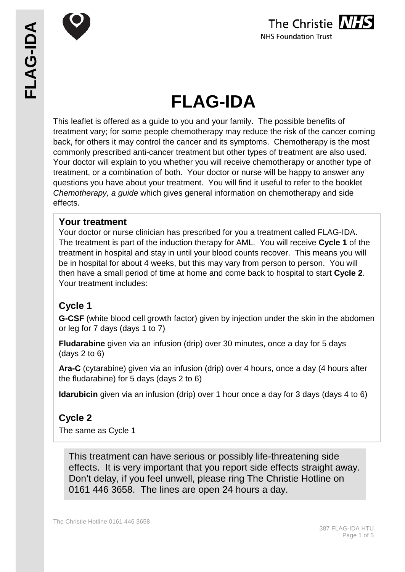

# **FLAG-IDA**

This leaflet is offered as a guide to you and your family. The possible benefits of treatment vary; for some people chemotherapy may reduce the risk of the cancer coming back, for others it may control the cancer and its symptoms. Chemotherapy is the most commonly prescribed anti-cancer treatment but other types of treatment are also used. Your doctor will explain to you whether you will receive chemotherapy or another type of treatment, or a combination of both. Your doctor or nurse will be happy to answer any questions you have about your treatment. You will find it useful to refer to the booklet *Chemotherapy, a guide* which gives general information on chemotherapy and side effects.

## **Your treatment**

Your doctor or nurse clinician has prescribed for you a treatment called FLAG-IDA. The treatment is part of the induction therapy for AML. You will receive **Cycle 1** of the treatment in hospital and stay in until your blood counts recover. This means you will be in hospital for about 4 weeks, but this may vary from person to person. You will then have a small period of time at home and come back to hospital to start **Cycle 2**. Your treatment includes:

# **Cycle 1**

**G-CSF** (white blood cell growth factor) given by injection under the skin in the abdomen or leg for 7 days (days 1 to 7)

**Fludarabine** given via an infusion (drip) over 30 minutes, once a day for 5 days (days 2 to 6)

**Ara-C** (cytarabine) given via an infusion (drip) over 4 hours, once a day (4 hours after the fludarabine) for 5 days (days 2 to 6)

**Idarubicin** given via an infusion (drip) over 1 hour once a day for 3 days (days 4 to 6)

# **Cycle 2**

The same as Cycle 1

This treatment can have serious or possibly life-threatening side effects. It is very important that you report side effects straight away. Don't delay, if you feel unwell, please ring The Christie Hotline on 0161 446 3658. The lines are open 24 hours a day.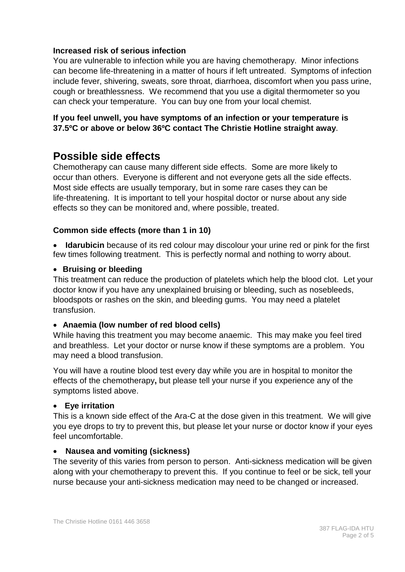## **Increased risk of serious infection**

You are vulnerable to infection while you are having chemotherapy. Minor infections can become life-threatening in a matter of hours if left untreated. Symptoms of infection include fever, shivering, sweats, sore throat, diarrhoea, discomfort when you pass urine, cough or breathlessness. We recommend that you use a digital thermometer so you can check your temperature. You can buy one from your local chemist.

## **If you feel unwell, you have symptoms of an infection or your temperature is 37.5ºC or above or below 36ºC contact The Christie Hotline straight away**.

# **Possible side effects**

Chemotherapy can cause many different side effects. Some are more likely to occur than others. Everyone is different and not everyone gets all the side effects. Most side effects are usually temporary, but in some rare cases they can be life-threatening. It is important to tell your hospital doctor or nurse about any side effects so they can be monitored and, where possible, treated.

## **Common side effects (more than 1 in 10)**

**Idarubicin** because of its red colour may discolour your urine red or pink for the first few times following treatment. This is perfectly normal and nothing to worry about.

#### • **Bruising or bleeding**

This treatment can reduce the production of platelets which help the blood clot. Let your doctor know if you have any unexplained bruising or bleeding, such as nosebleeds, bloodspots or rashes on the skin, and bleeding gums. You may need a platelet transfusion.

#### • **Anaemia (low number of red blood cells)**

While having this treatment you may become anaemic. This may make you feel tired and breathless. Let your doctor or nurse know if these symptoms are a problem. You may need a blood transfusion.

You will have a routine blood test every day while you are in hospital to monitor the effects of the chemotherapy**,** but please tell your nurse if you experience any of the symptoms listed above.

#### • **Eye irritation**

This is a known side effect of the Ara-C at the dose given in this treatment. We will give you eye drops to try to prevent this, but please let your nurse or doctor know if your eyes feel uncomfortable.

#### • **Nausea and vomiting (sickness)**

The severity of this varies from person to person. Anti-sickness medication will be given along with your chemotherapy to prevent this. If you continue to feel or be sick, tell your nurse because your anti-sickness medication may need to be changed or increased.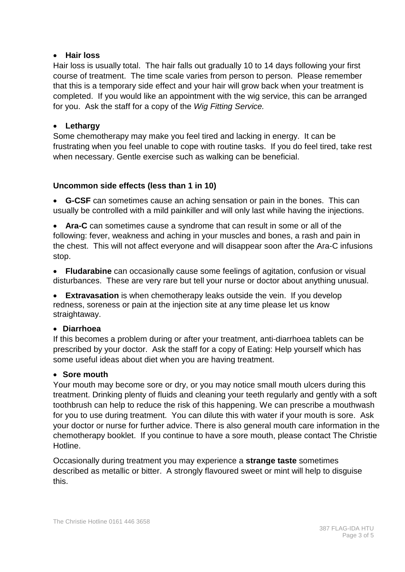#### • **Hair loss**

Hair loss is usually total. The hair falls out gradually 10 to 14 days following your first course of treatment. The time scale varies from person to person. Please remember that this is a temporary side effect and your hair will grow back when your treatment is completed. If you would like an appointment with the wig service, this can be arranged for you. Ask the staff for a copy of the *Wig Fitting Service.*

## • **Lethargy**

Some chemotherapy may make you feel tired and lacking in energy. It can be frustrating when you feel unable to cope with routine tasks. If you do feel tired, take rest when necessary. Gentle exercise such as walking can be beneficial.

#### **Uncommon side effects (less than 1 in 10)**

• **G-CSF** can sometimes cause an aching sensation or pain in the bones. This can usually be controlled with a mild painkiller and will only last while having the injections.

• **Ara-C** can sometimes cause a syndrome that can result in some or all of the following: fever, weakness and aching in your muscles and bones, a rash and pain in the chest. This will not affect everyone and will disappear soon after the Ara-C infusions stop.

• **Fludarabine** can occasionally cause some feelings of agitation, confusion or visual disturbances. These are very rare but tell your nurse or doctor about anything unusual.

• **Extravasation** is when chemotherapy leaks outside the vein. If you develop redness, soreness or pain at the injection site at any time please let us know straightaway.

#### • **Diarrhoea**

If this becomes a problem during or after your treatment, anti-diarrhoea tablets can be prescribed by your doctor. Ask the staff for a copy of Eating: Help yourself which has some useful ideas about diet when you are having treatment.

#### • **Sore mouth**

Your mouth may become sore or dry, or you may notice small mouth ulcers during this treatment. Drinking plenty of fluids and cleaning your teeth regularly and gently with a soft toothbrush can help to reduce the risk of this happening. We can prescribe a mouthwash for you to use during treatment. You can dilute this with water if your mouth is sore. Ask your doctor or nurse for further advice. There is also general mouth care information in the chemotherapy booklet. If you continue to have a sore mouth, please contact The Christie Hotline.

Occasionally during treatment you may experience a **strange taste** sometimes described as metallic or bitter. A strongly flavoured sweet or mint will help to disguise this.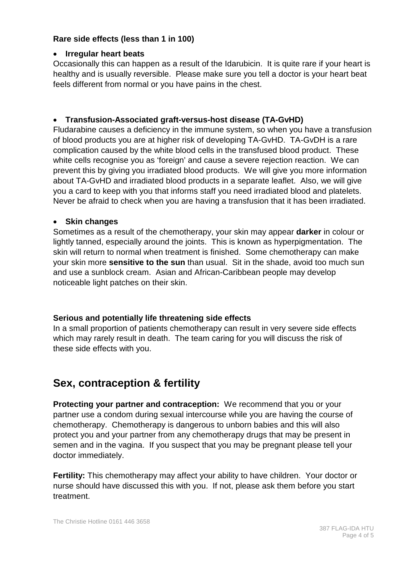## **Rare side effects (less than 1 in 100)**

#### • **Irregular heart beats**

Occasionally this can happen as a result of the Idarubicin. It is quite rare if your heart is healthy and is usually reversible. Please make sure you tell a doctor is your heart beat feels different from normal or you have pains in the chest.

## • **Transfusion-Associated graft-versus-host disease (TA-GvHD)**

Fludarabine causes a deficiency in the immune system, so when you have a transfusion of blood products you are at higher risk of developing TA-GvHD. TA-GvDH is a rare complication caused by the white blood cells in the transfused blood product. These white cells recognise you as 'foreign' and cause a severe rejection reaction. We can prevent this by giving you irradiated blood products. We will give you more information about TA-GvHD and irradiated blood products in a separate leaflet. Also, we will give you a card to keep with you that informs staff you need irradiated blood and platelets. Never be afraid to check when you are having a transfusion that it has been irradiated.

#### • **Skin changes**

Sometimes as a result of the chemotherapy, your skin may appear **darker** in colour or lightly tanned, especially around the joints. This is known as hyperpigmentation. The skin will return to normal when treatment is finished. Some chemotherapy can make your skin more **sensitive to the sun** than usual. Sit in the shade, avoid too much sun and use a sunblock cream. Asian and African-Caribbean people may develop noticeable light patches on their skin.

## **Serious and potentially life threatening side effects**

In a small proportion of patients chemotherapy can result in very severe side effects which may rarely result in death. The team caring for you will discuss the risk of these side effects with you.

# **Sex, contraception & fertility**

**Protecting your partner and contraception:** We recommend that you or your partner use a condom during sexual intercourse while you are having the course of chemotherapy. Chemotherapy is dangerous to unborn babies and this will also protect you and your partner from any chemotherapy drugs that may be present in semen and in the vagina. If you suspect that you may be pregnant please tell your doctor immediately.

**Fertility:** This chemotherapy may affect your ability to have children. Your doctor or nurse should have discussed this with you. If not, please ask them before you start treatment.